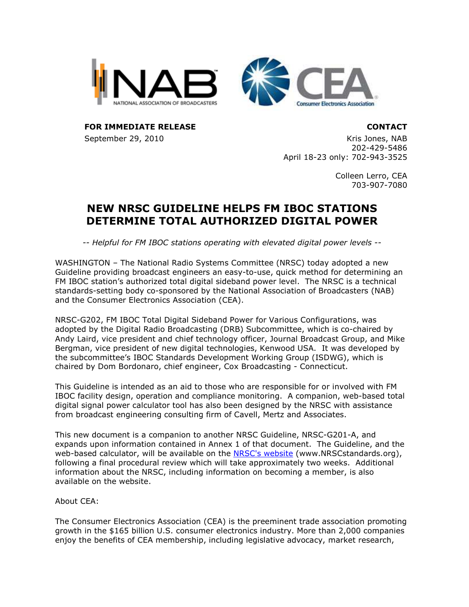



FOR IMMEDIATE RELEASE CONTACT

September 29, 2010 Kris Jones, NAB 202-429-5486 April 18-23 only: 702-943-3525

> Colleen Lerro, CEA 703-907-7080

## NEW NRSC GUIDELINE HELPS FM IBOC STATIONS DETERMINE TOTAL AUTHORIZED DIGITAL POWER

-- Helpful for FM IBOC stations operating with elevated digital power levels --

WASHINGTON – The National Radio Systems Committee (NRSC) today adopted a new Guideline providing broadcast engineers an easy-to-use, quick method for determining an FM IBOC station's authorized total digital sideband power level. The NRSC is a technical standards-setting body co-sponsored by the National Association of Broadcasters (NAB) and the Consumer Electronics Association (CEA).

NRSC-G202, FM IBOC Total Digital Sideband Power for Various Configurations, was adopted by the Digital Radio Broadcasting (DRB) Subcommittee, which is co-chaired by Andy Laird, vice president and chief technology officer, Journal Broadcast Group, and Mike Bergman, vice president of new digital technologies, Kenwood USA. It was developed by the subcommittee's IBOC Standards Development Working Group (ISDWG), which is chaired by Dom Bordonaro, chief engineer, Cox Broadcasting - Connecticut.

This Guideline is intended as an aid to those who are responsible for or involved with FM IBOC facility design, operation and compliance monitoring. A companion, web-based total digital signal power calculator tool has also been designed by the NRSC with assistance from broadcast engineering consulting firm of Cavell, Mertz and Associates.

This new document is a companion to another NRSC Guideline, NRSC-G201-A, and expands upon information contained in Annex 1 of that document. The Guideline, and the web-based calculator, will be available on the NRSC's website (www.NRSCstandards.org), following a final procedural review which will take approximately two weeks. Additional information about the NRSC, including information on becoming a member, is also available on the website.

About CEA:

The Consumer Electronics Association (CEA) is the preeminent trade association promoting growth in the \$165 billion U.S. consumer electronics industry. More than 2,000 companies enjoy the benefits of CEA membership, including legislative advocacy, market research,